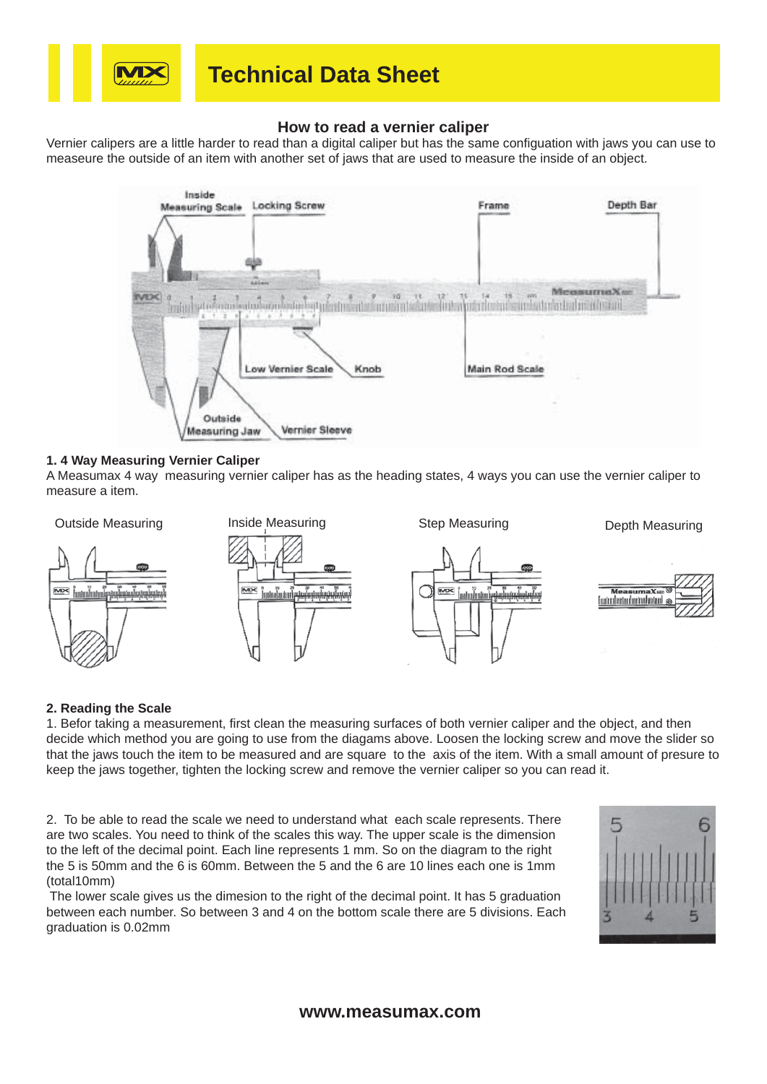

## **Technical Data Sheet**

### **How to read a vernier caliper**

Vernier calipers are a little harder to read than a digital caliper but has the same configuation with jaws you can use to measeure the outside of an item with another set of jaws that are used to measure the inside of an object.



#### **1. 4 Way Measuring Vernier Caliper**

A Measumax 4 way measuring vernier caliper has as the heading states, 4 ways you can use the vernier caliper to measure a item.



#### **2. Reading the Scale**

1. Befor taking a measurement, first clean the measuring surfaces of both vernier caliper and the object, and then decide which method you are going to use from the diagams above. Loosen the locking screw and move the slider so that the jaws touch the item to be measured and are square to the axis of the item. With a small amount of presure to keep the jaws together, tighten the locking screw and remove the vernier caliper so you can read it.

2. To be able to read the scale we need to understand what each scale represents. There are two scales. You need to think of the scales this way. The upper scale is the dimension to the left of the decimal point. Each line represents 1 mm. So on the diagram to the right the 5 is 50mm and the 6 is 60mm. Between the 5 and the 6 are 10 lines each one is 1mm (total10mm)

 The lower scale gives us the dimesion to the right of the decimal point. It has 5 graduation between each number. So between 3 and 4 on the bottom scale there are 5 divisions. Each graduation is 0.02mm